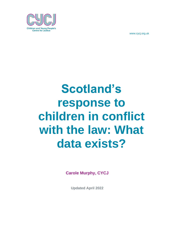

# **Scotland's response to children in conflict with the law: What data exists?**

**Carole Murphy, CYCJ**

**Updated April 2022**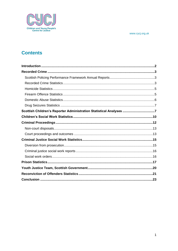

# **Contents**

| Scottish Children's Reporter Administration Statistical Analyses 7 |  |
|--------------------------------------------------------------------|--|
|                                                                    |  |
|                                                                    |  |
|                                                                    |  |
|                                                                    |  |
|                                                                    |  |
|                                                                    |  |
|                                                                    |  |
|                                                                    |  |
|                                                                    |  |
|                                                                    |  |
|                                                                    |  |
|                                                                    |  |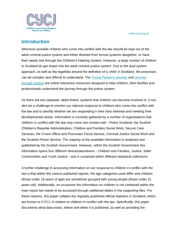

## <span id="page-2-0"></span>**Introduction**

Wherever possible children who come into conflict with the law should be kept out of the adult criminal justice system and either diverted from formal systems altogether, or have their needs met through the Children's Hearing System. However, a large number of children in Scotland do get drawn into the adult criminal justice system. Due to the dual system approach, as well as the legalities around the definition of a 'child' in Scotland, the processes can be complex and difficult to understand. The [Young Person's Journey](https://content.iriss.org.uk/youthjustice/) and [Journey](https://content.iriss.org.uk/charged/)  [through Justice](https://content.iriss.org.uk/charged/) are online interactive resources designed to help children, their families and professionals understand the journey through the justice system.

As there are two separate, albeit linked, systems that children can become involved in, it can also be a challenge to monitor our national response to children who come into conflict with the law and to identify whether we are responding in their best interests and meeting their developmental needs. Information is currently gathered by a number of organisations that children in conflict with the law may come into contact with - Police Scotland, the Scottish Children's Reporter Administration, Children and Families Social Work, Secure Care Services, the Crown Office and Procurator Fiscal Service, Criminal Justice Social Work and the Scottish Prison Service. The majority of the available information is analysed and published by the Scottish Government. However, within the Scottish Government this information spans four different directorates/teams - Children and Families, Justice, Safer Communities and Youth Justice - and is contained within different statistical collections.

A further challenge in accessing information on our response to children in conflict with the law is that within the various published reports, the age categories used differ and children (those under 18 years of age) are sometimes grouped with young people (those under 21 years old). Additionally, on occasions the information on children is not contained within the main report but needs to be accessed through additional tables in the supporting files. For these reasons, this paper collates the regularly published official statistics in Scotland, which are known to CYCJ, in relation to children in conflict with the law. Specifically, this paper documents what data exists, where and when it is published, as well as providing the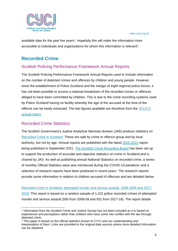

available data for the past five years<sup>1</sup>. Hopefully this will make the information more accessible to individuals and organisations for whom this information is relevant<sup>2</sup>.

# <span id="page-3-0"></span>**Recorded Crime**

## <span id="page-3-1"></span>Scottish Policing Performance Framework Annual Reports

The Scottish Policing Performance Framework Annual Reports used to include information on the number of detected crimes and offences by children and young people. However, since the establishment of Police Scotland and the merger of eight regional police forces, it has not been possible to access a national breakdown of the recorded crimes or offences alleged to have been committed by children. This is due to the crime recording systems used by Police Scotland having no facility whereby the age of the accused at the time of the offence can be easily extracted. The last figures available are therefore from the [2012/13](https://www.webarchive.org.uk/wayback/archive/20150219050932/http:/www.gov.scot/Publications/2013/11/6914/downloads#res437520)  [annual report.](https://www.webarchive.org.uk/wayback/archive/20150219050932/http:/www.gov.scot/Publications/2013/11/6914/downloads#res437520)

## <span id="page-3-2"></span>Recorded Crime Statistics

The Scottish Government's Justice Analytical Services division (JAS) produce statistics on [Recorded Crime in Scotland.](https://www.gov.scot/collections/recorded-crime-in-scotland/) These are split by crime or offence group and by local authority, but not by age. Annual reports are published with the latest [2020-2021](https://www.gov.scot/publications/recorded-crime-scotland-2020-2021/) report being published in September 2021. [The Scottish Crime Recording Board](https://www.gov.scot/groups/scottish-crime-recording-board/) has been set up to support the production of accurate and objective statistics on crime in Scotland and is chaired by JAS. As well as publishing annual National Statistics on recorded crime, a series of monthly Official Statistics were also introduced during the COVID-19 pandemic and a selection of research reports have been produced in recent years. The research reports provide some information in relation to children accused of offences and are detailed below.

[Recorded crime in Scotland: attempted murder and serious assault, 2008-2009 and 2017-](https://www.gov.scot/publications/recorded-crime-scotland-attempted-murder-serious-assault-2008-09-2017-18/) [2018:](https://www.gov.scot/publications/recorded-crime-scotland-attempted-murder-serious-assault-2008-09-2017-18/) This report is based on a random sample of 1,101 police recorded crimes of attempted murder and serious assault (550 from 2008-09 and 551 from 2017-18). The report details

<sup>1</sup> Information from the Scottish Crime and Justice Survey has not been included as it is based on experiences and perceptions rather than children who have come into conflict with the law through detected crime.

<sup>2</sup> This paper is based on the official statistics known to CYCJ and our understanding and interpretation of them. Links are provided to the original data sources where more detailed information can be obtained.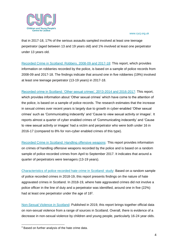

that in 2017-18, 17% of the serious assaults sampled involved at least one teenage perpetrator (aged between 13 and 19 years old) and 1% involved at least one perpetrator under 13 years old.

[Recorded Crime in Scotland: Robbery, 2008-09 and 2017-18:](https://www.gov.scot/publications/recorded-crime-scotland-robbery-2008-09-2017-18/) This report, which provides information on robberies recorded by the police, is based on a sample of police records from 2008-09 and 2017-18. The findings indicate that around one in five robberies (19%) involved at least one teenage perpetrator (13-19 years) in 2017-18.

[Recorded crime in Scotland: 'Other sexual crimes', 2013-2014 and 2016-2017:](https://www.gov.scot/publications/recorded-crime-scotland-sexual-crimes-2013-14-2016-17/) This report, which provides information about 'Other sexual crimes' which have come to the attention of the police, is based on a sample of police records. The research estimates that the increase in sexual crimes over recent years is largely due to growth in cyber-enabled 'Other sexual crimes' such as 'Communicating indecently' and 'Cause to view sexual activity or images'. It reports almost a quarter of cyber enabled crimes of 'Communicating indecently' and 'Cause to view sexual activity or images' had a victim and perpetrator who were both under 16 in 2016-17 (compared to 8% for non-cyber enabled crimes of this type).

[Recorded Crime in Scotland: Handling offensive weapons:](https://www.gov.scot/publications/recorded-crime-scotland-handling-offensive-weapons/) This report provides information on crimes of handling offensive weapons recorded by the police and is based on a random sample of police recorded crimes from April to September 2017. It indicates that around a quarter of perpetrators were teenagers (13-19 years).

[Characteristics of police recorded hate crime in Scotland: study:](https://www.gov.scot/publications/study-characteristics-police-recorded-hate-crime-scotland/) Based on a random sample of police recorded crimes in 2018-19, this report presents findings on the nature of hate aggravated crimes in Scotland. In 2018-19, where hate aggravated crimes did not involve a police officer in the line of duty and a perpetrator was identified, around one in five (22%) had at least one perpetrator under the age of 18<sup>3</sup>.

[Non-Sexual Violence in Scotland:](https://www.gov.scot/publications/non-sexual-violence-scotland/) Published in 2019, this report brings together official data on non-sexual violence from a range of sources in Scotland. Overall, there is evidence of a decrease in non-sexual violence by children and young people, particularly 16-24 year olds.

<sup>&</sup>lt;sup>3</sup> Based on further analysis of the hate crime data.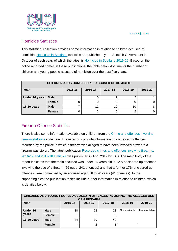

### <span id="page-5-0"></span>Homicide Statistics

This statistical collection provides some information in relation to children accused of homicide. [Homicide in Scotland](https://www.gov.scot/search/?q=homicide+in+scotland&cat=sitesearch) statistics are published by the Scottish Government in October of each year, of which the latest is [Homicide in Scotland 2019-20.](https://www.gov.scot/publications/homicide-scotland-2019-2020/) Based on the police recorded crimes in these publications, the table below documents the number of children and young people accused of homicide over the past five years.

| CHILDREN AND YOUNG PEOPLE ACCUSED OF HOMICIDE |               |         |         |         |         |         |  |  |  |
|-----------------------------------------------|---------------|---------|---------|---------|---------|---------|--|--|--|
| Year                                          |               | 2015-16 | 2016-17 | 2017-18 | 2018-19 | 2019-20 |  |  |  |
| Under 16 years                                | <b>Male</b>   |         |         | ◠       |         |         |  |  |  |
|                                               | <b>Female</b> |         |         |         |         |         |  |  |  |
| 16-20 years                                   | <b>Male</b>   |         | 12      | 10      | 10      |         |  |  |  |
|                                               | Female        |         | 2       |         | ◠       |         |  |  |  |

## <span id="page-5-1"></span>Firearm Offence Statistics

There is also some information available on children from the Crime and offences involving [firearm statistics](https://www.gov.scot/collections/crime-and-offences-involving-firearms-statistics/) collection. These reports provide information on crimes and offences recorded by the police in which a firearm was alleged to have been involved or where a firearm was stolen. The latest publication [Recorded crimes and offences involving firearms:](https://www.gov.scot/publications/recorded-crimes-offences-involving-firearms-scotland-2016-17-2017-18/) [2016-17 and 2017-18 statistics](https://www.gov.scot/publications/recorded-crimes-offences-involving-firearms-scotland-2016-17-2017-18/) was published in April 2019 by JAS. The main body of the report indicates that the main accused was under 16 years old in 12% of cleared up offences involving the use of a firearm (29 out of 241 offences) and that a further 17% of cleared up offences were committed by an accused aged 16 to 20 years (41 offences). In the supporting files the publication tables include further information in relation to children, which is detailed below.

| CHILDREN AND YOUNG PEOPLE ACCUSED IN OFFENCES INVOLVING THE ALLEGED USE<br>OF A FIREARM |               |         |         |         |               |               |  |  |
|-----------------------------------------------------------------------------------------|---------------|---------|---------|---------|---------------|---------------|--|--|
| Year                                                                                    |               | 2015-16 | 2016-17 | 2017-18 | 2018-19       | 2019-20       |  |  |
| Under 16                                                                                | <b>Male</b>   | 38      | 22      | 23      | Not available | Not available |  |  |
| years                                                                                   | <b>Female</b> |         |         | 6       |               |               |  |  |
| 16-20 years                                                                             | <b>Male</b>   | 44      | 39      | 40      |               |               |  |  |
|                                                                                         | <b>Female</b> |         | ◠       |         |               |               |  |  |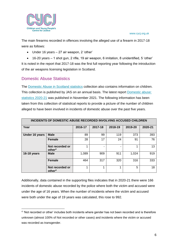

The main firearms recorded in offences involving the alleged use of a firearm in 2017-18 were as follows:

- Under 16 years 27 air weapon, 2 'other'
- 16-20 years 1 shot gun, 2 rifle, 19 air weapon, 6 imitation, 8 unidentified, 5 'other'

It is noted in the report that 2017-18 was the first full reporting year following the introduction of the air weapons licensing legislation in Scotland.

## <span id="page-6-0"></span>Domestic Abuse Statistics

The [Domestic Abuse in Scotland statistics](https://www.gov.scot/collections/domestic-abuse-in-scotland-statistics/) collection also contains information on children. This collection is published by JAS on an annual basis. The latest report [Domestic abuse:](https://www.gov.scot/publications/domestic-abuse-recorded-police-scotland-2020-21/)  [statistics 2020-21](https://www.gov.scot/publications/domestic-abuse-recorded-police-scotland-2020-21/) was published in November 2021. The following information has been taken from this collection of statistical reports to provide a picture of the number of children alleged to have been involved in incidents of domestic abuse over the past five years.

| INCIDENTS OF DOMESTIC ABUSE RECORDED INVOLVING ACCUSED CHILDREN |                                       |         |         |         |         |         |  |  |
|-----------------------------------------------------------------|---------------------------------------|---------|---------|---------|---------|---------|--|--|
| Year                                                            |                                       | 2016-17 | 2017-18 | 2018-19 | 2019-20 | 2020-21 |  |  |
| Under 16 years                                                  | <b>Male</b>                           | 89      | 99      | 119     | 373     | 393     |  |  |
|                                                                 | <b>Female</b>                         | 28      | 17      | 24      | 91      | 76      |  |  |
|                                                                 | Not recorded or<br>other <sup>4</sup> | ◢       |         |         | 1       | 13      |  |  |
| 16-18 years                                                     | <b>Male</b>                           | 1,089   | 909     | 911     | 1,024   | 919     |  |  |
|                                                                 | <b>Female</b>                         | 464     | 317     | 320     | 316     | 333     |  |  |
|                                                                 | Not recorded or<br>other <sup>4</sup> | 4       | 4       |         | 5       | 18      |  |  |

Additionally, data contained in the supporting files indicates that in 2020-21 there were 166 incidents of domestic abuse recorded by the police where both the victim and accused were under the age of 16 years. When the number of incidents where the victim and accused were both under the age of 19 years was calculated, this rose to 992.

<sup>&</sup>lt;sup>4</sup> 'Not recorded or other' includes both incidents where gender has not been recorded and is therefore unknown (almost 100% of Not recorded or other cases) and incidents where the victim or accused was recorded as transgender.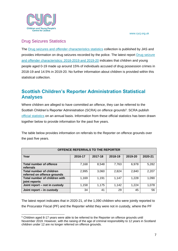

## <span id="page-7-0"></span>Drug Seizures Statistics

The [Drug seizures and offender characteristics statistics](https://www.gov.scot/collections/drug-seizures-and-offender-characteristics/) collection is published by JAS and provides information on drug seizures recorded by the police. The latest report [Drug seizure](https://www.gov.scot/publications/drug-seizures-offender-characteristics-2018-2019-2019-20/)  [and offender characteristics: 2018-2019 and 2019-20](https://www.gov.scot/publications/drug-seizures-offender-characteristics-2018-2019-2019-20/) indicates that children and young people aged 0-19 made up around 15% of individuals accused of drug possession crimes in 2018-19 and 14.5% in 2019-20. No further information about children is provided within this statistical collection.

# <span id="page-7-1"></span>**Scottish Children's Reporter Administration Statistical Analyses**

Where children are alleged to have committed an offence, they can be referred to the Scottish Children's Reporter Administration (SCRA) on offence grounds<sup>5</sup>. SCRA publish [official statistics](https://www.scra.gov.uk/resources_articles_category/official-statistics/) on an annual basis. Information from these official statistics has been drawn together below to provide information for the past five years.

The table below provides information on referrals to the Reporter on offence grounds over the past five years.

| OFFENCE REFERRALS TO THE REPORTER                              |         |         |         |         |         |  |  |  |  |
|----------------------------------------------------------------|---------|---------|---------|---------|---------|--|--|--|--|
| Year                                                           | 2016-17 | 2017-18 | 2018-19 | 2019-20 | 2020-21 |  |  |  |  |
| <b>Total number of offence</b><br>referrals                    | 7,168   | 8,548   | 7,763   | 6,978   | 5,282   |  |  |  |  |
| <b>Total number of children</b><br>referred on offence grounds | 2,995   | 3,060   | 2,824   | 2,840   | 2,207   |  |  |  |  |
| Total number of children with<br>joint reports                 | 1,169   | 1,191   | 1,147   | 1,228   | 1,090   |  |  |  |  |
| Joint report - not in custody                                  | 1,158   | 1,175   | 1.142   | 1,224   | 1,078   |  |  |  |  |
| Joint report - in custody                                      | 34      | 41      | 29      | 45      | 56      |  |  |  |  |

The latest report indicates that in 2020-21, of the 1,090 children who were jointly reported to the Procurator Fiscal (PF) and the Reporter whilst they were not in custody, where the PF

<sup>5</sup> Children aged 8-17 years were able to be referred to the Reporter on offence grounds until November 2019. However, with the raising of the age of criminal responsibility to 12 years in Scotland children under 12 are no longer referred on offence grounds.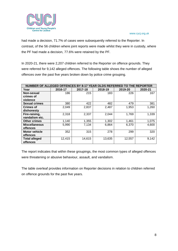

had made a decision, 71.7% of cases were subsequently referred to the Reporter. In contrast, of the 56 children where joint reports were made whilst they were in custody, where the PF had made a decision, 77.6% were retained by the PF.

In 2020-21, there were 2,207 children referred to the Reporter on offence grounds. They were referred for 9,142 alleged offences. The following table shows the number of alleged offences over the past five years broken down by police crime grouping.

| NUMBER OF ALLEGED OFFENCES BY 8-17 YEAR OLDS REFERRED TO THE REPORTER |         |         |         |         |         |
|-----------------------------------------------------------------------|---------|---------|---------|---------|---------|
| Year                                                                  | 2016-17 | 2017-18 | 2018-19 | 2019-20 | 2020-21 |
| Non-sexual                                                            | 186     | 215     | 183     | 226     | 167     |
| crimes of                                                             |         |         |         |         |         |
| violence                                                              |         |         |         |         |         |
| <b>Sexual crimes</b>                                                  | 380     | 422     | 482     | 479     | 381     |
| <b>Crimes of</b>                                                      | 2,049   | 2,837   | 2,487   | 1,953   | 1,260   |
| dishonesty                                                            |         |         |         |         |         |
| Fire-raising,                                                         | 2,318   | 2,337   | 2,044   | 1,769   | 1,339   |
| vandalism etc.                                                        |         |         |         |         |         |
| <b>Other crimes</b>                                                   | 1,140   | 1,355   | 1,302   | 1,461   | 1,075   |
| <b>Miscellaneous</b>                                                  | 5,990   | 7,134   | 6,864   | 6,370   | 4,600   |
| <b>offences</b>                                                       |         |         |         |         |         |
| <b>Motor vehicle</b>                                                  | 352     | 315     | 278     | 299     | 320     |
| offences                                                              |         |         |         |         |         |
| <b>Total alleged</b>                                                  | 12,415  | 14,615  | 13,635  | 12,557  | 9,142   |
| offences                                                              |         |         |         |         |         |

The report indicates that within these groupings, the most common types of alleged offences were threatening or abusive behaviour, assault, and vandalism.

The table overleaf provides information on Reporter decisions in relation to children referred on offence grounds for the past five years.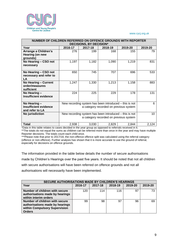

| NUMBER OF CHILDREN REFERRED ON OFFENCE GROUNDS WITH REPORTER<br><b>DECISIONS, BY DECISION*</b> |         |                                                                                                  |                                        |       |       |  |  |  |  |  |  |  |
|------------------------------------------------------------------------------------------------|---------|--------------------------------------------------------------------------------------------------|----------------------------------------|-------|-------|--|--|--|--|--|--|--|
| Year                                                                                           | 2016-17 | 2019-20<br>2017-18<br>2018-19<br>2019-20                                                         |                                        |       |       |  |  |  |  |  |  |  |
| Arrange a Children's<br>Hearing (on new<br>grounds)                                            | 276     | 199                                                                                              | 168                                    | 155   | 79    |  |  |  |  |  |  |  |
| No Hearing - CSO not<br>necessary                                                              | 1,197   | 1,182                                                                                            | 1,090                                  | 1,219 | 831   |  |  |  |  |  |  |  |
| No Hearing - CSO not<br>necessary and refer to<br>LA                                           | 650     | 745                                                                                              | 707                                    | 696   | 533   |  |  |  |  |  |  |  |
| No Hearing - Current<br>order/measures<br>sufficient                                           | 1,247   | 1,330                                                                                            | 1,213                                  | 1,158 | 883   |  |  |  |  |  |  |  |
| No Hearing -<br><b>Insufficient evidence</b>                                                   | 224     | 225                                                                                              | 229                                    | 178   | 131   |  |  |  |  |  |  |  |
| No Hearing -<br><b>Insufficient evidence</b><br>and refer to LA                                |         | New recording system has been introduced - this is not<br>a category recorded on previous system |                                        |       |       |  |  |  |  |  |  |  |
| No jurisdiction                                                                                |         | New recording system has been introduced – this is not                                           | a category recorded on previous system |       | 10    |  |  |  |  |  |  |  |
| <b>Total</b>                                                                                   | 2,938   | 3,030                                                                                            | 2,829                                  | 2,844 | 2,124 |  |  |  |  |  |  |  |

\*Data in this table relates to cases decided in the year group as opposed to referrals received in it. \*\*The totals do not equal the sums as children can be referred more than once in the year and may have multiple Reporter decisions. The totals count each child once.

\*\*\*Please note that prior to 2017/18, the non-offence offence split was calculated using the referral category (offence or non-offence). Further analysis has shown that it is more accurate to use the ground of referral, especially for decisions on offence grounds.

The information provided in the table below details the number of secure authorisations made by Children's Hearings over the past five years. It should be noted that not all children with secure authorisations will have been referred on offence grounds and not all authorisations will necessarily have been implemented.

| <b>SECURE AUTHORISATIONS MADE BY CHILDREN'S HEARINGS</b>                                                            |         |         |         |         |         |  |  |  |  |
|---------------------------------------------------------------------------------------------------------------------|---------|---------|---------|---------|---------|--|--|--|--|
| Year                                                                                                                | 2016-17 | 2017-18 | 2018-19 | 2019-20 | 2019-20 |  |  |  |  |
| Number of children with secure<br>authorisations made by hearings<br>within interim orders                          | 120     | 114     | 116     | 97      | 73      |  |  |  |  |
| Number of children with secure<br>authorisations made by hearings<br>within Compulsory Supervision<br><b>Orders</b> | 99      | 98      | 97      | 96      | 69      |  |  |  |  |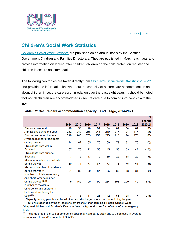

# <span id="page-10-0"></span>**Children's Social Work Statistics**

[Children's Social Work Statistics](https://www.gov.scot/collections/childrens-social-work/) are published on an annual basis by the Scottish Government Children and Families Directorate. They are published in March each year and provide information on looked after children, children on the child protection register and children in secure accommodation.

The following two tables are taken directly from [Children's Social Work Statistics: 2020-21](https://www.gov.scot/publications/childrens-social-work-statistics-scotland-2020-21/) and provide the information known about the capacity of secure care accommodation and about children in secure care accommodation over the past eight years. It should be noted that not all children are accommodated in secure care due to coming into conflict with the law.

|                                    |      |      |      |      |      |      |      |      | $\%$    |
|------------------------------------|------|------|------|------|------|------|------|------|---------|
|                                    |      |      |      |      |      |      |      |      | change  |
|                                    | 2014 | 2015 | 2016 | 2017 | 2018 | 2019 | 2020 | 2021 | 2020-21 |
| Places at year end                 | 90   | 90   | 90   | 84   | 84   | 84   | 84   | 84   | 0%      |
| Admissions during the year         | 232  | 249  | 256  | 248  | 210  | 217  | 194  | 177  | $-9%$   |
| Discharges during the year         | 226  | 245  | 253  | 257  | 213  | 210  | 194  | 178  | -8%     |
| Average number of residents        |      |      |      |      |      |      |      |      |         |
| during the year                    | 74   | 82   | 85   | 76   | 80   | 79   | 82   | 76   | $-7%$   |
| <b>Residents from within</b>       |      |      |      |      |      |      |      |      |         |
| Scotland                           | 67   | 76   | 72   | 56   | 45   | 53   | 53   | 47   | $-11%$  |
| <b>Residents from outside</b>      |      |      |      |      |      |      |      |      |         |
| Scotland                           | 7    | 6    | 13   | 19   | 35   | 26   | 28   | 29   | 4%      |
| Minimum number of residents        |      |      |      |      |      |      |      |      |         |
| during the year                    | 60   | 71   | 77   | 67   | 73   | 71   | 75   | 64   | $-15%$  |
| Maximum number of residents        |      |      |      |      |      |      |      |      |         |
| during the year <sup>[1]</sup>     | 84   | 89   | 90   | 87   | 86   | 88   | 88   | 84   | -5%     |
| Number of nights emergency         |      |      |      |      |      |      |      |      |         |
| and short term beds used           |      |      |      |      |      |      |      |      |         |
| during the year <sup>[2],[3]</sup> | 5    | 146  | 50   | 90   | 284  | 398  | 209  | 40   | $-81%$  |
| Number of residents                |      |      |      |      |      |      |      |      |         |
| emergency and short term           |      |      |      |      |      |      |      |      |         |
| beds used for during the           |      |      |      |      |      |      |      |      |         |
| year[2],[3]                        | 3    | 13   | 11   | 25   | 42   | 55   | 28   | 17   | $-39%$  |

#### Table 3.2: Secure care accommodation capacity<sup>[1]</sup> and usage, 2014-2021

[1] Capacity: Young people can be admitted and discharged more than once during the year.

[2] Four units reported having at least one emergency/ short term bed: Rossie School; Good

Shepherd; Kibble; and St. Mary's Kenmure (see background notes for definition of an emergency bed).

[3] The large drop in the use of emergency beds may have partly been due to a decrease in average occupancy rates and/or impacts of COVID-19.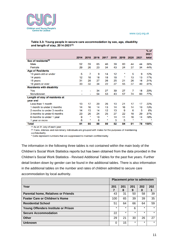

#### Table 3.3: Young people in secure care accommodation by sex, age, disability and length of stay, 2014-2021[1]

|                                  |      |                          |      |      |      |      |      |         | $%$ of<br>2021 |
|----------------------------------|------|--------------------------|------|------|------|------|------|---------|----------------|
|                                  | 2014 | 2015                     | 2016 | 2017 | 2018 | 2019 | 2020 | 2021    | total          |
| Sex of residents <sup>[2]</sup>  |      |                          |      |      |      |      |      |         |                |
| Male                             | 52   | 59                       | 65   | 46   | 39   | 60   | 44   | 44      | 56%            |
| Female                           | 29   | 26                       | 23   | 34   | 43   | 24   | 37   | 34      | 44%            |
| <b>Age of Residents</b>          |      |                          |      |      |      |      |      |         |                |
| 13 years old or under            | 5    | 7                        | 9    | 14   | 12   | *    | 5    | 9       | 12%            |
| 14 years                         | 12   | 18                       | 18   | 18   | 18   | *    | 13   | 13      | 17%            |
| 15 years                         | 31   | 28                       | 27   | 26   | 25   | 21   | 26   | 16      | 21%            |
| 16 years or over                 | 33   | 32                       | 34   | 22   | 27   | 55   | 37   | 40      | 51%            |
| <b>Residents with disability</b> |      |                          |      |      |      |      |      |         |                |
| Yes                              |      | -                        | 34   | 27   | 39   | 27   | 7    | 18      | 23%            |
| No/unknown                       |      | $\overline{\phantom{0}}$ | 54   | 53   | 43   | 57   | 74   | 60      | 77%            |
| Length of stay of residents at   |      |                          |      |      |      |      |      |         |                |
| year end                         |      |                          |      |      |      |      |      |         |                |
| Less than 1 month                | 13   | 17                       | 20   | 26   | 10   | 21   | 17   | 17      | 22%            |
| 1 month to under 2 months        | 14   | 16                       | 14   | 13   | 14   | 16   | 14   | 10      | 13%            |
| 2 months to under 3 months       | 14   | 13                       | 14   | 12   | 13   | 9    | 6    | 5       | 6%             |
| 3 months to under 6 months       | 23   | 26                       | 24   | 25   | 27   | 22   | 18   | 29      | 37%            |
| 6 months to under 1 year         | 9    | $\ast$                   | 10   | *    | 14   | 11   | 16   | 14      | 18%            |
| 1 year or more                   | 8    | $\ast$                   | 6    | *    | 0    | 5    | *    | $\star$ |                |
| <b>Total</b>                     | 81   | 85                       | 88   | 80   | 82   | 84   | 81   | 78      | 100%           |

[1] As at 31 July of each year.

[2] Trans, intersex and non-binary individuals are grouped with males for the purposes of maintaining confidentiality.

\* Cells represent numbers that are suppressed to maintain confidentiality.

The information in the following three tables is not contained within the main body of the Children's Social Work Statistics reports but has been obtained from the data provided in the Children's Social Work Statistics - Revised Additional Tables for the past five years. Further detail broken down by gender can be found in the additional tables. There is also information in the additional tables on the number and rates of children admitted to secure care accommodation by local authority.

|                                            | <b>Placement prior to admission</b> |          |          |          |         |
|--------------------------------------------|-------------------------------------|----------|----------|----------|---------|
| Year                                       | 201                                 | 201<br>8 | 201<br>9 | 202<br>0 | 202     |
| <b>Parental home, Relatives or Friends</b> | 43                                  | 31       | 50       | 58       | 39      |
| <b>Foster Care or Children's Home</b>      | 100                                 | 65       | 39       | 39       | 35      |
| <b>Residential School</b>                  | 51                                  | 64       | 66       | 64       | 59      |
| <b>Young Offenders Institute or Prison</b> | $\star$                             | $\star$  | 6        | $\star$  | $\star$ |
| <b>Secure Accommodation</b>                | 22                                  | $\star$  | $\star$  | $\star$  | $\star$ |
| Other                                      | 29                                  | 21       | 30       | 26       | 27      |
| <b>Unknown</b>                             | 0                                   | 15       | $\star$  | $\star$  | $\star$ |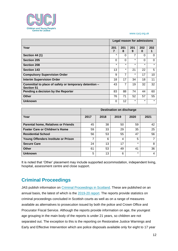

|                                                                            |          |          |          | <b>Legal reason for admissions</b> |         |
|----------------------------------------------------------------------------|----------|----------|----------|------------------------------------|---------|
| Year                                                                       | 201<br>7 | 201<br>8 | 201<br>9 | 202<br>0                           | 202     |
| <b>Section 44 (1)</b>                                                      | $\star$  | 0        | 7        | 0                                  | 0       |
| <b>Section 205</b>                                                         | $\Omega$ | 0        | $\star$  | 0                                  | 0       |
| <b>Section 208</b>                                                         | $\star$  | $\star$  | $\star$  | $\star$                            | $\star$ |
| <b>Section 143</b>                                                         | 13       | $\star$  | 21       | 22                                 | 5       |
| <b>Compulsory Supervision Order</b>                                        | 9        | 7        | $\star$  | 17                                 | 10      |
| <b>Interim Supervision Order</b>                                           | 18       | 17       | 34       | 18                                 | 11      |
| Committal to place of safety or temporary detention -<br><b>Section 51</b> | 43       | 7        | 19       | 32                                 | 32      |
| Pending a decision by the Reporter                                         | 83       | 88       | 74       | 44                                 | 60      |
| <b>Other</b>                                                               | 76       | 71       | 52       | 57                                 | 55      |
| <b>Unknown</b>                                                             | 0        | 12       | $\star$  | $\star$                            | $\star$ |

|                                            | <b>Destination on discharge</b> |      |      |         |      |  |  |
|--------------------------------------------|---------------------------------|------|------|---------|------|--|--|
| Year                                       | 2017                            | 2018 | 2019 | 2020    | 2021 |  |  |
| <b>Parental home, Relatives or Friends</b> | 45                              | 38   | 50   | 59      | 42   |  |  |
| <b>Foster Care or Children's Home</b>      | 59                              | 33   | 29   | 35      | 25   |  |  |
| <b>Residential School</b>                  | 56                              | 53   | 55   | 47      | 56   |  |  |
| <b>Young Offenders Institute or Prison</b> | 7                               | 6    | 4    | 5       |      |  |  |
| <b>Secure Care</b>                         | 24                              | 13   | 17   | $\star$ | 8    |  |  |
| <b>Other</b>                               | 61                              | 53   | 49   | 41      | 36   |  |  |
| <b>Unknown</b>                             | 5                               | 13   | 6    | $\star$ |      |  |  |

It is noted that 'Other' placement may include supported accommodation, independent living, hospital, assessment centre and close support.

# <span id="page-12-0"></span>**Criminal Proceedings**

JAS publish information on [Criminal Proceedings in Scotland.](https://www.gov.scot/collections/criminal-proceedings-in-scotland/) These are published on an annual basis, the latest of which is the [2019-20](https://www.gov.scot/publications/criminal-proceedings-scotland-2019-20/) report. The reports provide statistics on criminal proceedings concluded in Scottish courts as well as on a range of measures available as alternatives to prosecution issued by both the police and Crown Office and Procurator Fiscal Service. Although the reports provide information on age, the youngest age grouping in the main body of the reports is under 21 years, so children are not separated out. The exception to this is the reporting on Restorative Justice Warnings and Early and Effective Intervention which are police disposals available only for eight to 17 year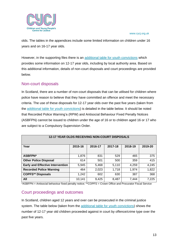

olds. The tables in the appendices include some limited information on children under 16 years and on 16-17 year olds.

However, in the supporting files there is an [additional table for youth convictions](https://www.gov.scot/binaries/content/documents/govscot/publications/statistics/2021/05/criminal-proceedings-scotland-2019-20/documents/youth-convictions-tables/youth-convictions-tables/govscot%3Adocument/youth-convictions-tables.xlsx) which provides some information on 12-17 year olds, including by local authority area. Based on this additional information, details of non-court disposals and court proceedings are provided below.

#### <span id="page-13-0"></span>Non-court disposals

In Scotland, there are a number of non-court disposals that can be utilised for children where police have reason to believe that they have committed an offence and meet the necessary criteria. The use of these disposals for 12-17 year olds over the past five years (taken from the [additional table for youth convictions\)](https://www.gov.scot/binaries/content/documents/govscot/publications/statistics/2021/05/criminal-proceedings-scotland-2019-20/documents/youth-convictions-tables/youth-convictions-tables/govscot%3Adocument/youth-convictions-tables.xlsx) is detailed in the table below. It should be noted that Recorded Police Warning's (RPW) and Antisocial Behaviour Fixed Penalty Notices (ASBFPN) cannot be issued to children under the age of 16 or to children aged 16 or 17 who are subject to a Compulsory Supervision Order.

| <b>12-17 YEAR OLDS RECEIVING NON-COURT DISPOSALS</b> |         |         |         |         |         |  |  |  |  |
|------------------------------------------------------|---------|---------|---------|---------|---------|--|--|--|--|
| Year                                                 | 2015-16 | 2016-17 | 2017-18 | 2018-19 | 2019-20 |  |  |  |  |
| <b>ASBFPN*</b>                                       | 1,876   | 831     | 529     | 465     | 375     |  |  |  |  |
| <b>Other Police Disposal</b>                         | 614     | 501     | 500     | 359     | 415     |  |  |  |  |
| <b>Early and Effective Intervention</b>              | 5,945   | 5,468   | 5,110   | 4,259   | 4,245   |  |  |  |  |
| <b>Recorded Police Warning</b>                       | 464     | 2,023   | 1,718   | 1,974   | 1,822   |  |  |  |  |
| <b>COPFS** Disposals</b>                             | 1,242   | 602     | 630     | 387     | 368     |  |  |  |  |
| All                                                  | 10,141  | 9,425   | 8,487   | 7,444   | 7,225   |  |  |  |  |

\*ASBFPN = Antisocial behaviour fixed penalty notice; \*\*COPFS = Crown Office and Procurator Fiscal Service

## <span id="page-13-1"></span>Court proceedings and outcomes

In Scotland, children aged 12 years and over can be prosecuted in the criminal justice system. The table below (taken from the [additional table for youth convictions\)](https://www.gov.scot/binaries/content/documents/govscot/publications/statistics/2021/05/criminal-proceedings-scotland-2019-20/documents/youth-convictions-tables/youth-convictions-tables/govscot%3Adocument/youth-convictions-tables.xlsx) shows the number of 12-17 year old children proceeded against in court by offence/crime type over the past five years.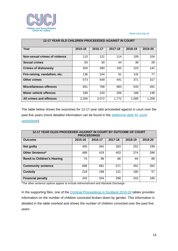

| <b>12-17 YEAR OLD CHILDREN PROCEEEDED AGAINST IN COURT</b> |         |         |         |         |         |  |  |  |  |  |
|------------------------------------------------------------|---------|---------|---------|---------|---------|--|--|--|--|--|
| Year                                                       | 2015-16 | 2016-17 | 2017-18 | 2018-19 | 2019-20 |  |  |  |  |  |
| Non-sexual crimes of violence                              | 110     | 121     | 114     | 109     | 104     |  |  |  |  |  |
| <b>Sexual crimes</b>                                       | 63      | 30      | 44      | 39      | 29      |  |  |  |  |  |
| <b>Crimes of dishonesty</b>                                | 304     | 280     | 193     | 223     | 142     |  |  |  |  |  |
| Fire-raising, vandalism, etc.                              | 136     | 104     | 91      | 142     | 77      |  |  |  |  |  |
| <b>Other crimes</b>                                        | 573     | 549     | 441     | 371     | 317     |  |  |  |  |  |
| <b>Miscellaneous offences</b>                              | 831     | 768     | 683     | 533     | 391     |  |  |  |  |  |
| <b>Motor vehicle offences</b>                              | 189     | 220     | 206     | 168     | 148     |  |  |  |  |  |
| All crimes and offences                                    | 2,206   | 2,072   | 1,772   | 1,585   | 1,208   |  |  |  |  |  |

The table below shows the outcomes for 12-17 year olds proceeded against in court over the past five years (more detailed information can be found in the additional table for youth [convictions\)](https://www.gov.scot/binaries/content/documents/govscot/publications/statistics/2021/05/criminal-proceedings-scotland-2019-20/documents/youth-convictions-tables/youth-convictions-tables/govscot%3Adocument/youth-convictions-tables.xlsx).

| 12-17 YEAR OLDS PROCEEDED AGAINST IN COURT BY OUTCOME OF COURT<br><b>PROCEEDINGS</b> |         |         |         |         |         |  |  |  |  |
|--------------------------------------------------------------------------------------|---------|---------|---------|---------|---------|--|--|--|--|
| <b>Outcome</b>                                                                       | 2015-16 | 2016-17 | 2017-18 | 2018-19 | 2019-20 |  |  |  |  |
| Not guilty                                                                           | 405     | 342     | 283     | 252     | 199     |  |  |  |  |
| <b>Other Sentence*</b>                                                               | 468     | 419     | 403     | 374     | 286     |  |  |  |  |
| <b>Remit to Children's Hearing</b>                                                   | 74      | 98      | 86      | 84      | 89      |  |  |  |  |
| <b>Community sentence</b>                                                            | 698     | 681     | 571     | 452     | 392     |  |  |  |  |
| <b>Custody</b>                                                                       | 218     | 198     | 131     | 180     | 57      |  |  |  |  |
| <b>Financial penalty</b>                                                             | 343     | 334     | 298     | 243     | 185     |  |  |  |  |

\*The other sentence options appear to include Admonishment and Absolute Discharge.

In the supporting files, one of the [Criminal Proceedings in Scotland 2019-20](https://www.gov.scot/publications/criminal-proceedings-scotland-2019-20/pages/48/) tables provides information on the number of children convicted broken down by gender. This information is detailed in the table overleaf and shows the number of children convicted over the past five years.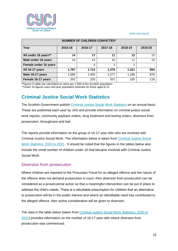

| <b>NUMBER OF CHILDREN CONVICTED*</b> |         |                                          |          |       |     |  |  |  |  |  |
|--------------------------------------|---------|------------------------------------------|----------|-------|-----|--|--|--|--|--|
| Year                                 | 2015-16 | 2018-19<br>2016-17<br>2017-18<br>2019-20 |          |       |     |  |  |  |  |  |
| All under 16 years**                 | 14      | 17                                       | 11       | 12    | 15  |  |  |  |  |  |
| Male under 16 years                  | 14      | 13                                       | 10       | 11    | 15  |  |  |  |  |  |
| Female under 16 years                |         | 4                                        |          | 1     |     |  |  |  |  |  |
| All 16-17 years                      | 1,787   | 1,713                                    | 1,478    | 1,321 | 994 |  |  |  |  |  |
| Male 16-17 years                     | 1,585   | 1,493                                    | 1,277    | 1,166 | 876 |  |  |  |  |  |
| Female 16-17 years<br>.              | 202     | 220                                      | 201<br>. | 155   | 118 |  |  |  |  |  |

\*Figures in table are calculated as ratios per 1,000 of the Scottish population

\*\*Under 16 figures uses mid-year population estimate for those aged 8-15

# <span id="page-15-0"></span>**Criminal Justice Social Work Statistics**

The Scottish Government publish [Criminal Justice Social Work Statistics](https://www.gov.scot/collections/criminal-justice-social-work/) on an annual basis. These are published each year by JAS and provide information on criminal justice social work reports, community payback orders, drug treatment and testing orders, diversion from prosecution, throughcare and bail.

The reports provide information on the group of 16-17 year olds who are involved with Criminal Justice Social Work. The information below is taken from [Criminal Justice Social](https://www.gov.scot/publications/criminal-justice-social-work-statistics-scotland-2020-21/)  [Work Statistics: 2020](https://www.gov.scot/publications/criminal-justice-social-work-statistics-scotland-2020-21/) to 2021. It should be noted that the figures in the tables below also include the small number of children under 16 that became involved with Criminal Justice Social Work.

#### <span id="page-15-1"></span>Diversion from prosecution

Where children are reported to the Procurator Fiscal for an alleged offence and the nature of the offence does not demand prosecution in court, then diversion from prosecution can be considered as a prosecutorial action so that a meaningful intervention can be put in place to address the child's needs. There is a rebuttable presumption for children that an alternative to prosecution will be in the public interest and where an identifiable need has contributed to the alleged offence, then active consideration will be given to diversion.

The data in the table below (taken from [Criminal Justice Social Work Statistics: 2020](https://www.gov.scot/publications/criminal-justice-social-work-statistics-scotland-2020-21/) to [2021\)](https://www.gov.scot/publications/criminal-justice-social-work-statistics-scotland-2020-21/) provides information on the number of 16-17 year olds where diversion from prosecution was commenced.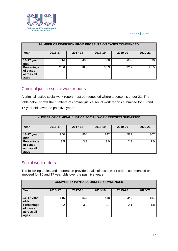

| <b>NUMBER OF DIVERSION FROM PROSEUTAION CASES COMMENCED</b> |         |         |         |         |         |  |  |  |  |
|-------------------------------------------------------------|---------|---------|---------|---------|---------|--|--|--|--|
| Year                                                        | 2016-17 | 2017-18 | 2018-19 | 2019-20 | 2020-21 |  |  |  |  |
| 16-17 year<br>olds                                          | 414     | 488     | 560     | 650     | 590     |  |  |  |  |
| Percentage<br>of cases<br>across all<br>ages                | 20.6    | 28.3    | 30.3    | 32.7    | 26.5    |  |  |  |  |

## <span id="page-16-0"></span>Criminal justice social work reports

A criminal justice social work report must be requested where a person is under 21. The table below shows the numbers of criminal justice social work reports submitted for 16 and 17 year olds over the past five years.

| NUMBER OF CRIMINAL JUSTICE SOCIAL WORK REPORTS SUBMITTED |         |         |         |         |         |  |  |  |  |  |
|----------------------------------------------------------|---------|---------|---------|---------|---------|--|--|--|--|--|
| Year                                                     | 2016-17 | 2017-18 | 2018-19 | 2019-20 | 2020-21 |  |  |  |  |  |
| 16-17 year<br>olds                                       | 940     | 864     | 742     | 589     | 307     |  |  |  |  |  |
| Percentage<br>of cases<br>across all<br>ages             | 3.5     | 3.3     | 3.0     | 2.3     | 2.0     |  |  |  |  |  |

## <span id="page-16-1"></span>Social work orders

The following tables and information provide details of social work orders commenced or imposed for 16 and 17 year olds over the past five years.

| <b>COMMUNITY PAYBACK ORDERS COMMENCED</b>    |         |         |         |         |         |  |  |  |  |
|----------------------------------------------|---------|---------|---------|---------|---------|--|--|--|--|
| Year                                         | 2016-17 | 2017-18 | 2018-19 | 2019-20 | 2020-21 |  |  |  |  |
| 16-17 year<br>olds                           | 615     | 532     | 438     | 349     | 151     |  |  |  |  |
| Percentage<br>of cases<br>across all<br>ages | 3.2     | 3.0     | 2.7     | 2.1     | 1.8     |  |  |  |  |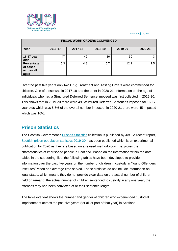

| <b>FISCAL WORK ORDERS COMMENCED</b>          |         |         |         |         |         |  |  |  |  |
|----------------------------------------------|---------|---------|---------|---------|---------|--|--|--|--|
| Year                                         | 2016-17 | 2017-18 | 2018-19 | 2019-20 | 2020-21 |  |  |  |  |
| 16-17 year<br>olds                           | 47      | 49      | 36      | 30      | 3       |  |  |  |  |
| Percentage<br>of cases<br>across all<br>ages | 5.3     | 4.8     | 5.7     | 12.1    | 2.5     |  |  |  |  |

Over the past five years only two Drug Treatment and Testing Orders were commenced for children. One of these was in 2017-18 and the other in 2020-21. Information on the age of individuals who had a Structured Deferred Sentence imposed was first collected in 2019-20. This shows that in 2019-20 there were 49 Structured Deferred Sentences imposed for 16-17 year olds which was 5.5% of the overall number imposed; in 2020-21 there were 45 imposed which was 10%.

# <span id="page-17-0"></span>**Prison Statistics**

The Scottish Government's **Prisons Statistics** collection is published by JAS. A recent report, [Scottish prison population statistics 2019-20,](https://www.gov.scot/publications/scottish-prison-population-statistics-2019-20/) has been published which is an experimental publication for 2020 as they are based on a revised methodology. It explores the characteristics of imprisoned people in Scotland. Based on the information within the data tables in the supporting files, the following tables have been developed to provide information over the past five years on the number of children in custody in Young Offenders Institutes/Prison and average time served. These statistics do not include information on legal status, which means they do not provide clear data on the actual number of children held on remand, the actual number of children sentenced to custody in any one year, the offences they had been convicted of or their sentence length.

The table overleaf shows the number and gender of children who experienced custodial imprisonment across the past five years (for all or part of that year) in Scotland.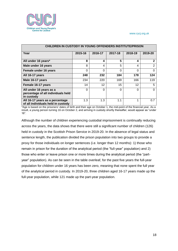

| <b>CHILDREN IN CUSTODY IN YOUNG OFFENDERS INSTITUTE/PRISON</b>              |         |          |          |          |                |  |  |  |  |
|-----------------------------------------------------------------------------|---------|----------|----------|----------|----------------|--|--|--|--|
| Year                                                                        | 2015-16 | 2016-17  | 2017-18  | 2018-19  | 2019-20        |  |  |  |  |
| All under 16 years*                                                         | 8       | 4        | 5        | 4        | $\overline{2}$ |  |  |  |  |
| Male under 16 years                                                         | 8       | 4        | 5        | 4        | $\overline{2}$ |  |  |  |  |
| Female under 16 years                                                       | 0       | 0        | $\Omega$ | $\Omega$ | 0              |  |  |  |  |
| All 16-17 years                                                             | 248     | 232      | 184      | 178      | 124            |  |  |  |  |
| Male 16-17 years                                                            | 234     | 220      | 169      | 166      | 119            |  |  |  |  |
| Female 16-17 years                                                          | 14      | 12       | 15       | 12       | 5              |  |  |  |  |
| All under 16 years as a<br>percentage of all individuals held<br>in custody | 0       | $\Omega$ | $\Omega$ | $\Omega$ | $\Omega$       |  |  |  |  |
| All 16-17 years as a percentage<br>of all individuals held in custody       | 1.3     | 1.3      | 1.1      | 1        | 0.7            |  |  |  |  |

\*Age is based on the prisoners' dates of birth and their age on October 1, the mid-point of the financial year. As a result, a young person turning 16 on October 2, and arriving in custody shortly thereafter, would appear as "under 16".

Although the number of children experiencing custodial imprisonment is continually reducing across the years, the data shows that there were still a significant number of children (126) held in custody in the Scottish Prison Service in 2019-20. In the absence of legal status and sentence length, the publication divided the prison population into two groups to provide a proxy for those individuals on longer sentences (i.e. longer than 12 months): 1) those who remain in prison for the duration of the analytical period (the "full-year" population) and 2) those who enter or leave prison one or more times during the analytical period (the "partyear" population). As can be seen in the table overleaf, for the past five years the full-year population for children under 16 years has been zero, meaning that none spent the full year of the analytical period in custody. In 2019-20, three children aged 16-17 years made up the full-year population, while 121 made up the part-year population.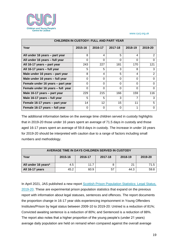

| <b>CHILDREN IN CUSTODY: FULL AND PART YEAR</b> |          |                   |          |          |                |  |  |  |  |
|------------------------------------------------|----------|-------------------|----------|----------|----------------|--|--|--|--|
| Year                                           | 2015-16  | 2016-17           | 2017-18  | 2018-19  | 2019-20        |  |  |  |  |
| All under 16 years - part year                 | 8        | 4                 | 5        | 4        | $\overline{2}$ |  |  |  |  |
| All under 16 years - full year                 | $\Omega$ | $\Omega$          | $\Omega$ | $\Omega$ | $\Omega$       |  |  |  |  |
| All 16-17 years – part year                    | 243      | 227               | 181      | 170      | 121            |  |  |  |  |
| All 16-17 years - full year                    | 5        | 5                 | 3        | 8        | 3              |  |  |  |  |
| Male under 16 years - part year                | 8        | $\overline{4}$    | 5        | 4        | $\overline{2}$ |  |  |  |  |
| Male under 16 years - full year                | $\Omega$ | $\Omega$          | $\Omega$ | $\Omega$ | $\Omega$       |  |  |  |  |
| Female under 16 years - part year              | $\Omega$ | $\Omega$          | $\Omega$ | $\Omega$ | $\Omega$       |  |  |  |  |
| Female under 16 years - full year              | $\Omega$ | $\Omega$          | $\Omega$ | $\Omega$ | $\Omega$       |  |  |  |  |
| Male 16-17 years – part year                   | 229      | 215               | 166      | 159      | 116            |  |  |  |  |
| Male 16-17 years - full year                   | 5        | 5                 | 3        | 7        | 3              |  |  |  |  |
| Female 16-17 years - part year                 | 14       | $12 \overline{ }$ | 15       | 11       | 5              |  |  |  |  |
| Female 16-17 years - full year                 | 0        | $\Omega$          | $\Omega$ | 1        | 0              |  |  |  |  |

The additional information below on the average time children served in custody highlights that in 2019-20 those under 16 years spent an average of 71.5 days in custody and those aged 16-17 years spent an average of 59.8 days in custody. The increase in under 16 years for 2019-20 should be interpreted with caution due to a range of factors including small numbers and methodology.

| AVERAGE TIME IN DAYS CHILDREN SERVED IN CUSTODY             |                           |      |    |      |      |  |  |  |  |  |
|-------------------------------------------------------------|---------------------------|------|----|------|------|--|--|--|--|--|
| Year<br>2018-19<br>2016-17<br>2017-18<br>2019-20<br>2015-16 |                           |      |    |      |      |  |  |  |  |  |
| All under 16 years*                                         | 21<br>4.5<br>71.5<br>11.7 |      |    |      |      |  |  |  |  |  |
| All 16-17 years                                             | 45.2                      | 60.9 | 57 | 44.3 | 59.8 |  |  |  |  |  |

In April 2021, JAS published a new report [Scottish Prison Population Statistics: Legal Status,](https://www.gov.scot/publications/scottish-prison-population-statistics-legal-status-2019-20/)  [2019-20.](https://www.gov.scot/publications/scottish-prison-population-statistics-legal-status-2019-20/) These are experimental prison population statistics that expand on the previous report with information about legal statuses, sentences and offences. The report documents the proportion change in 16-17 year olds experiencing imprisonment in Young Offenders Institutes/Prison by legal status between 2009-10 to 2019-20: Untried is a reduction of 81%; Convicted awaiting sentence is a reduction of 80%; and Sentenced is a reduction of 88%. The report also notes that a higher proportion of the young people's (under 21 years) average daily population are held on remand when compared against the overall average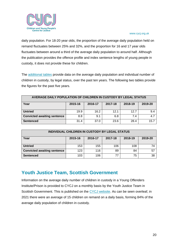

daily population. For 18-20 year olds, the proportion of the average daily population held on remand fluctuates between 25% and 32%, and the proportion for 16 and 17 year olds fluctuates between around a third of the average daily population to around half. Although the publication provides the offence profile and index sentence lengths of young people in custody, it does not provide these for children.

The [additional tables](https://www.gov.scot/publications/scottish-prison-population-statistics-legal-status-2019-20/) provide data on the average daily population and individual number of children in custody, by legal status, over the past ten years. The following two tables provide the figures for the past five years.

| AVERAGE DAILY POPULATION OF CHILDREN IN CUSTODY BY LEGAL STATUS |         |         |         |         |         |  |  |
|-----------------------------------------------------------------|---------|---------|---------|---------|---------|--|--|
| Year                                                            | 2015-16 | 2016-17 | 2017-18 | 2018-19 | 2019-20 |  |  |
| <b>Untried</b>                                                  | 19.9    | 16.2    | 12.1    | 12.7    | 9.4     |  |  |
| <b>Convicted awaiting sentence</b>                              | 8.8     | 9.1     | 6.8     | 7.4     | 4.7     |  |  |
| <b>Sentenced</b>                                                | 31.4    | 37.0    | 23.6    | 28.4    | 15.7    |  |  |

| INDIVIDUAL CHILDREN IN CUSTODY BY LEGAL STATUS |                                                     |     |     |     |    |  |  |  |
|------------------------------------------------|-----------------------------------------------------|-----|-----|-----|----|--|--|--|
| Year                                           | 2017-18<br>2018-19<br>2019-20<br>2015-16<br>2016-17 |     |     |     |    |  |  |  |
| <b>Untried</b>                                 | 153                                                 | 155 | 106 | 108 | 74 |  |  |  |
| <b>Convicted awaiting sentence</b>             | 123                                                 | 116 | 89  | 84  | 57 |  |  |  |
| <b>Sentenced</b>                               | 103                                                 | 106 | 77  | 75  | 38 |  |  |  |

# <span id="page-20-0"></span>**Youth Justice Team, Scottish Government**

Information on the average daily number of children in custody in a Young Offenders Institute/Prison is provided to CYCJ on a monthly basis by the Youth Justice Team in Scottish Government. This is published on the [CYCJ website.](http://www.cycj.org.uk/what-we-do/children-in-remand-in-scotland/) As can be seen overleaf, in 2021 there were an average of 15 children on remand on a daily basis, forming 84% of the average daily population of children in custody.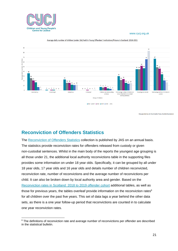



Average daily number of children (under 18s) held in Young Offenders' Institutions/Prisons in Scotland: 2016-2021

Data provided by the Youth Justice Team, Scottish Government

# <span id="page-21-0"></span>**Reconviction of Offenders Statistics**

The [Reconviction of Offenders Statistics](https://www.gov.scot/collections/reconviction-rates-in-scotland/) collection is published by JAS on an annual basis. The statistics provide reconviction rates for offenders released from custody or given non-custodial sentences. Whilst in the main body of the reports the youngest age grouping is all those under 21, the additional local authority reconvictions table in the supporting files provides some information on under 18 year olds. Specifically, it can be grouped by all under 18 year olds, 17 year olds and 16 year olds and details number of children reconvicted, reconviction rate, number of reconvictions and the average number of reconvictions per child. It can also be broken down by local authority area and gender. Based on the [Reconviction rates](https://www.gov.scot/publications/reconviction-rates-scotland-2018-19-offender-cohort/) in Scotland: 2018 to 2019 offender cohort additional tables, as well as those for previous years, the tables overleaf provide information on the reconviction rates<sup>6</sup> for all children over the past five years. This set of data lags a year behind the other data sets, as there is a one year follow-up period that reconvictions are counted in to calculate one year reconviction rates.

<sup>&</sup>lt;sup>6</sup> The definitions of reconviction rate and average number of reconvictions per offender are described in the statistical bulletin.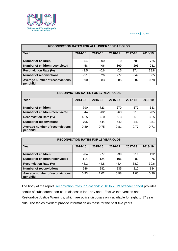

| <b>RECONVICTION RATES FOR ALL UNDER 18 YEAR OLDS</b> |         |         |         |         |         |  |  |
|------------------------------------------------------|---------|---------|---------|---------|---------|--|--|
| Year                                                 | 2014-15 | 2015-16 | 2016-17 | 2017-18 | 2018-19 |  |  |
| <b>Number of children</b>                            | 1,054   | 1,000   | 910     | 788     | 725     |  |  |
| Number of children reconvicted                       | 458     | 406     | 369     | 295     | 281     |  |  |
| <b>Reconviction Rate (%)</b>                         | 43.5    | 40.6    | 40.5    | 37.4    | 38.8    |  |  |
| <b>Number of reconvictions</b>                       | 951     | 826     | 777     | 649     | 565     |  |  |
| Average number of reconvictions<br>per child         | 0.90    | 0.83    | 0.85    | 0.82    | 0.78    |  |  |

| <b>RECONVICTION RATES FOR 17 YEAR OLDS</b>   |         |         |         |         |         |  |  |
|----------------------------------------------|---------|---------|---------|---------|---------|--|--|
| Year                                         | 2014-15 | 2015-16 | 2016-17 | 2017-18 | 2018-19 |  |  |
| <b>Number of children</b>                    | 790     | 723     | 670     | 577     | 533     |  |  |
| Number of children reconvicted               | 344     | 282     | 263     | 213     | 205     |  |  |
| <b>Reconviction Rate (%)</b>                 | 43.5    | 39.0    | 39.3    | 36.9    | 38.5    |  |  |
| <b>Number of reconvictions</b>               | 705     | 544     | 542     | 442     | 381     |  |  |
| Average number of reconvictions<br>per child | 0.89    | 0.75    | 0.81    | 0.77    | 0.71    |  |  |

| <b>RECONVICTION RATES FOR 16 YEAR OLDS</b>   |         |         |         |         |         |  |  |
|----------------------------------------------|---------|---------|---------|---------|---------|--|--|
| Year                                         | 2014-15 | 2015-16 | 2016-17 | 2017-18 | 2018-19 |  |  |
| Number of children                           | 264     | 277     | 239     | 211     | 192     |  |  |
| Number of children reconvicted               | 114     | 124     | 106     | 82      | 76      |  |  |
| <b>Reconviction Rate (%)</b>                 | 43.2    | 44.8    | 44.4    | 38.9    | 39.6    |  |  |
| <b>Number of reconvictions</b>               | 246     | 282     | 235     | 210     | 184     |  |  |
| Average number of reconvictions<br>per child | 0.93    | 1.02    | 0.98    | 1.00    | 0.96    |  |  |

The body of the report [Reconviction rates](https://www.gov.scot/publications/reconviction-rates-scotland-2018-19-offender-cohort/) in Scotland: 2018 to 2019 offender cohort provides details of subsequent non-court disposals for Early and Effective Intervention and Restorative Justice Warnings, which are police disposals only available for eight to 17 year olds. The tables overleaf provide information on these for the past five years.